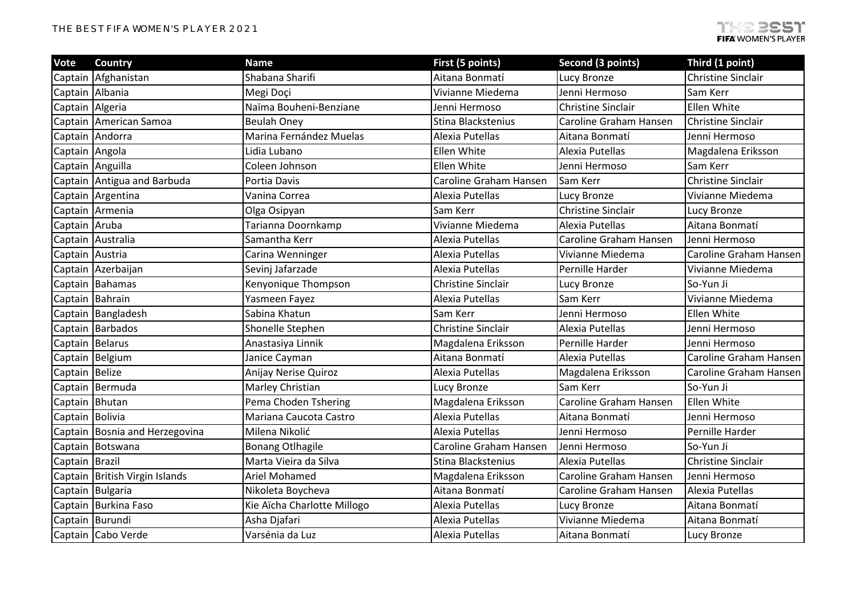| Vote             | Country                          | <b>Name</b>                 | First (5 points)          | <b>Second (3 points)</b>  | Third (1 point)           |
|------------------|----------------------------------|-----------------------------|---------------------------|---------------------------|---------------------------|
|                  | Captain Afghanistan              | Shabana Sharifi             | Aitana Bonmatí            | Lucy Bronze               | <b>Christine Sinclair</b> |
| Captain Albania  |                                  | Megi Doçi                   | Vivianne Miedema          | Jenni Hermoso             | Sam Kerr                  |
| Captain Algeria  |                                  | Naïma Bouheni-Benziane      | Jenni Hermoso             | <b>Christine Sinclair</b> | Ellen White               |
| Captain          | American Samoa                   | <b>Beulah Oney</b>          | Stina Blackstenius        | Caroline Graham Hansen    | <b>Christine Sinclair</b> |
|                  | Captain Andorra                  | Marina Fernández Muelas     | Alexia Putellas           | Aitana Bonmatí            | Jenni Hermoso             |
| Captain Angola   |                                  | Lidia Lubano                | <b>Ellen White</b>        | Alexia Putellas           | Magdalena Eriksson        |
| Captain Anguilla |                                  | Coleen Johnson              | Ellen White               | Jenni Hermoso             | Sam Kerr                  |
|                  | Captain Antigua and Barbuda      | Portia Davis                | Caroline Graham Hansen    | Sam Kerr                  | <b>Christine Sinclair</b> |
|                  | Captain Argentina                | Vanina Correa               | Alexia Putellas           | Lucy Bronze               | Vivianne Miedema          |
| Captain          | Armenia                          | Olga Osipyan                | Sam Kerr                  | <b>Christine Sinclair</b> | Lucy Bronze               |
| Captain Aruba    |                                  | Tarianna Doornkamp          | Vivianne Miedema          | Alexia Putellas           | Aitana Bonmatí            |
|                  | Captain Australia                | Samantha Kerr               | Alexia Putellas           | Caroline Graham Hansen    | Jenni Hermoso             |
| Captain          | Austria                          | Carina Wenninger            | Alexia Putellas           | Vivianne Miedema          | Caroline Graham Hansen    |
| Captain          | Azerbaijan                       | Sevinj Jafarzade            | Alexia Putellas           | Pernille Harder           | Vivianne Miedema          |
|                  | Captain Bahamas                  | Kenyonique Thompson         | <b>Christine Sinclair</b> | Lucy Bronze               | So-Yun Ji                 |
| Captain Bahrain  |                                  | Yasmeen Fayez               | Alexia Putellas           | Sam Kerr                  | Vivianne Miedema          |
|                  | Captain Bangladesh               | Sabina Khatun               | Sam Kerr                  | Jenni Hermoso             | Ellen White               |
|                  | Captain Barbados                 | Shonelle Stephen            | <b>Christine Sinclair</b> | Alexia Putellas           | Jenni Hermoso             |
| Captain Belarus  |                                  | Anastasiya Linnik           | Magdalena Eriksson        | Pernille Harder           | Jenni Hermoso             |
|                  | Captain Belgium                  | Janice Cayman               | Aitana Bonmatí            | Alexia Putellas           | Caroline Graham Hansen    |
| Captain Belize   |                                  | Anijay Nerise Quiroz        | Alexia Putellas           | Magdalena Eriksson        | Caroline Graham Hansen    |
|                  | Captain Bermuda                  | Marley Christian            | Lucy Bronze               | Sam Kerr                  | So-Yun Ji                 |
| Captain Bhutan   |                                  | Pema Choden Tshering        | Magdalena Eriksson        | Caroline Graham Hansen    | Ellen White               |
| Captain Bolivia  |                                  | Mariana Caucota Castro      | Alexia Putellas           | Aitana Bonmatí            | Jenni Hermoso             |
|                  | Captain Bosnia and Herzegovina   | Milena Nikolić              | Alexia Putellas           | Jenni Hermoso             | Pernille Harder           |
| Captain          | Botswana                         | <b>Bonang Otlhagile</b>     | Caroline Graham Hansen    | Jenni Hermoso             | So-Yun Ji                 |
| Captain   Brazil |                                  | Marta Vieira da Silva       | Stina Blackstenius        | Alexia Putellas           | <b>Christine Sinclair</b> |
|                  | Captain   British Virgin Islands | <b>Ariel Mohamed</b>        | Magdalena Eriksson        | Caroline Graham Hansen    | Jenni Hermoso             |
|                  | Captain Bulgaria                 | Nikoleta Boycheva           | Aitana Bonmatí            | Caroline Graham Hansen    | Alexia Putellas           |
|                  | Captain Burkina Faso             | Kie Aïcha Charlotte Millogo | Alexia Putellas           | Lucy Bronze               | Aitana Bonmatí            |
| Captain Burundi  |                                  | Asha Djafari                | Alexia Putellas           | Vivianne Miedema          | Aitana Bonmatí            |
|                  | Captain Cabo Verde               | Varsénia da Luz             | Alexia Putellas           | Aitana Bonmatí            | Lucy Bronze               |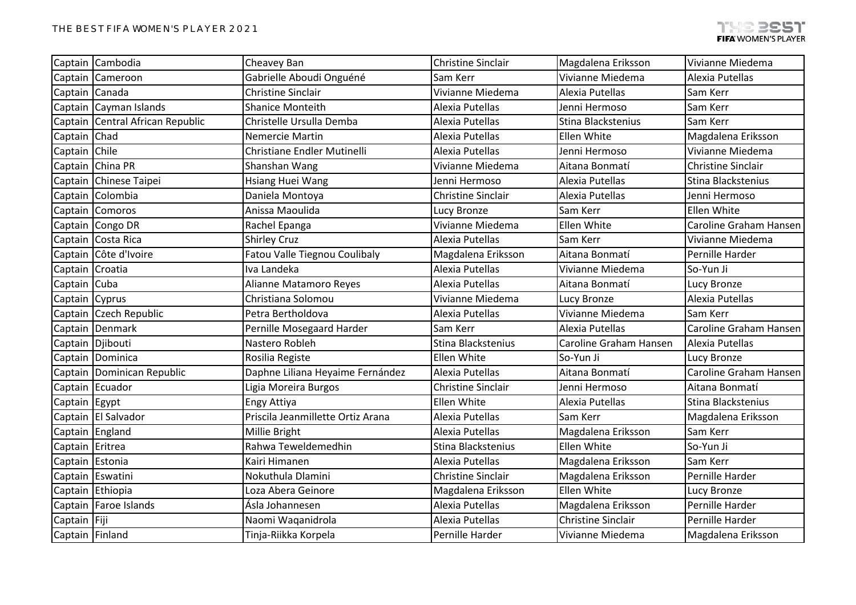|                  | Captain Cambodia         | Cheavey Ban                       | <b>Christine Sinclair</b> | Magdalena Eriksson        | Vivianne Miedema          |
|------------------|--------------------------|-----------------------------------|---------------------------|---------------------------|---------------------------|
|                  | Captain Cameroon         | Gabrielle Aboudi Onguéné          | Sam Kerr                  | Vivianne Miedema          | Alexia Putellas           |
| Captain Canada   |                          | <b>Christine Sinclair</b>         | Vivianne Miedema          | Alexia Putellas           | Sam Kerr                  |
|                  | Captain Cayman Islands   | <b>Shanice Monteith</b>           | Alexia Putellas           | Jenni Hermoso             | Sam Kerr                  |
| Captain          | Central African Republic | Christelle Ursulla Demba          | Alexia Putellas           | Stina Blackstenius        | Sam Kerr                  |
| Captain          | Chad                     | Nemercie Martin                   | Alexia Putellas           | Ellen White               | Magdalena Eriksson        |
| Captain Chile    |                          | Christiane Endler Mutinelli       | Alexia Putellas           | Jenni Hermoso             | Vivianne Miedema          |
|                  | Captain China PR         | Shanshan Wang                     | Vivianne Miedema          | Aitana Bonmatí            | <b>Christine Sinclair</b> |
|                  | Captain Chinese Taipei   | Hsiang Huei Wang                  | Jenni Hermoso             | Alexia Putellas           | Stina Blackstenius        |
| Captain          | Colombia                 | Daniela Montoya                   | <b>Christine Sinclair</b> | Alexia Putellas           | Jenni Hermoso             |
|                  | Captain Comoros          | Anissa Maoulida                   | Lucy Bronze               | Sam Kerr                  | Ellen White               |
|                  | Captain Congo DR         | Rachel Epanga                     | Vivianne Miedema          | Ellen White               | Caroline Graham Hansen    |
|                  | Captain Costa Rica       | <b>Shirley Cruz</b>               | Alexia Putellas           | Sam Kerr                  | Vivianne Miedema          |
| Captain          | Côte d'Ivoire            | Fatou Valle Tiegnou Coulibaly     | Magdalena Eriksson        | Aitana Bonmatí            | Pernille Harder           |
| Captain Croatia  |                          | Iva Landeka                       | Alexia Putellas           | Vivianne Miedema          | So-Yun Ji                 |
| Captain Cuba     |                          | Alianne Matamoro Reyes            | Alexia Putellas           | Aitana Bonmatí            | Lucy Bronze               |
| Captain Cyprus   |                          | Christiana Solomou                | Vivianne Miedema          | Lucy Bronze               | Alexia Putellas           |
|                  | Captain Czech Republic   | Petra Bertholdova                 | Alexia Putellas           | Vivianne Miedema          | Sam Kerr                  |
|                  | Captain Denmark          | Pernille Mosegaard Harder         | Sam Kerr                  | Alexia Putellas           | Caroline Graham Hansen    |
| Captain Djibouti |                          | Nastero Robleh                    | Stina Blackstenius        | Caroline Graham Hansen    | Alexia Putellas           |
|                  | Captain Dominica         | Rosilia Registe                   | Ellen White               | So-Yun Ji                 | Lucy Bronze               |
| Captain          | Dominican Republic       | Daphne Liliana Heyaime Fernández  | Alexia Putellas           | Aitana Bonmatí            | Caroline Graham Hansen    |
|                  | Captain Ecuador          | Ligia Moreira Burgos              | Christine Sinclair        | Jenni Hermoso             | Aitana Bonmatí            |
| Captain Egypt    |                          | Engy Attiya                       | Ellen White               | Alexia Putellas           | Stina Blackstenius        |
|                  | Captain El Salvador      | Priscila Jeanmillette Ortiz Arana | Alexia Putellas           | Sam Kerr                  | Magdalena Eriksson        |
| Captain England  |                          | Millie Bright                     | Alexia Putellas           | Magdalena Eriksson        | Sam Kerr                  |
| Captain          | Eritrea                  | Rahwa Teweldemedhin               | Stina Blackstenius        | Ellen White               | So-Yun Ji                 |
| Captain Estonia  |                          | Kairi Himanen                     | Alexia Putellas           | Magdalena Eriksson        | Sam Kerr                  |
|                  | Captain Eswatini         | Nokuthula Dlamini                 | Christine Sinclair        | Magdalena Eriksson        | Pernille Harder           |
|                  | Captain Ethiopia         | Loza Abera Geinore                | Magdalena Eriksson        | Ellen White               | Lucy Bronze               |
|                  | Captain   Faroe Islands  | Ásla Johannesen                   | Alexia Putellas           | Magdalena Eriksson        | Pernille Harder           |
| Captain Fiji     |                          | Naomi Waqanidrola                 | Alexia Putellas           | <b>Christine Sinclair</b> | Pernille Harder           |
| Captain Finland  |                          | Tinja-Riikka Korpela              | Pernille Harder           | Vivianne Miedema          | Magdalena Eriksson        |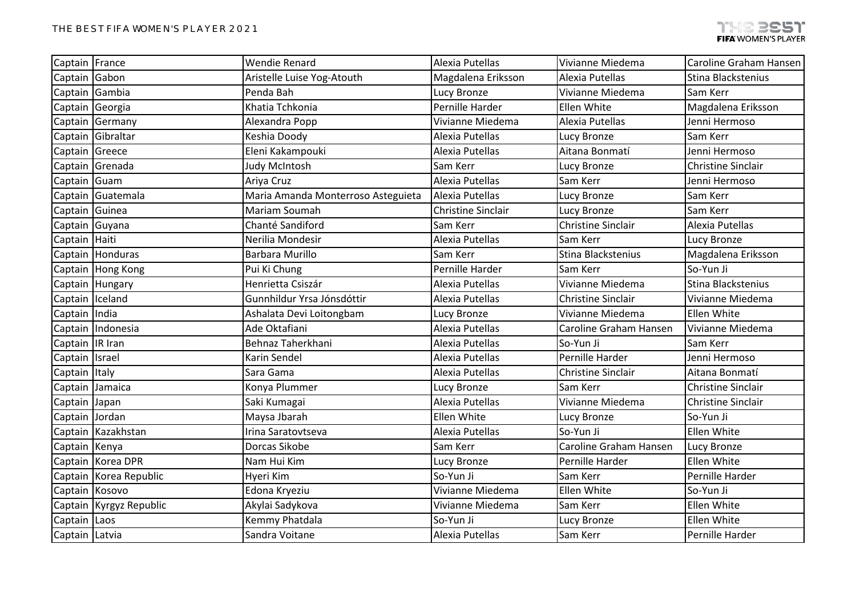| Captain France  |                         | <b>Wendie Renard</b>               | Alexia Putellas           | Vivianne Miedema          | Caroline Graham Hansen    |
|-----------------|-------------------------|------------------------------------|---------------------------|---------------------------|---------------------------|
| Captain Gabon   |                         | Aristelle Luise Yog-Atouth         | Magdalena Eriksson        | Alexia Putellas           | Stina Blackstenius        |
| Captain Gambia  |                         | Penda Bah                          | Lucy Bronze               | Vivianne Miedema          | Sam Kerr                  |
| Captain Georgia |                         | Khatia Tchkonia                    | Pernille Harder           | Ellen White               | Magdalena Eriksson        |
| Captain         | Germany                 | Alexandra Popp                     | Vivianne Miedema          | Alexia Putellas           | Jenni Hermoso             |
| Captain         | Gibraltar               | Keshia Doody                       | Alexia Putellas           | Lucy Bronze               | Sam Kerr                  |
| Captain Greece  |                         | Eleni Kakampouki                   | Alexia Putellas           | Aitana Bonmatí            | Jenni Hermoso             |
|                 | Captain Grenada         | Judy McIntosh                      | Sam Kerr                  | Lucy Bronze               | Christine Sinclair        |
| Captain Guam    |                         | Ariya Cruz                         | Alexia Putellas           | Sam Kerr                  | Jenni Hermoso             |
|                 | Captain Guatemala       | Maria Amanda Monterroso Asteguieta | Alexia Putellas           | Lucy Bronze               | Sam Kerr                  |
| Captain Guinea  |                         | Mariam Soumah                      | <b>Christine Sinclair</b> | Lucy Bronze               | Sam Kerr                  |
| Captain Guyana  |                         | Chanté Sandiford                   | Sam Kerr                  | <b>Christine Sinclair</b> | Alexia Putellas           |
| Captain Haiti   |                         | Nerilia Mondesir                   | Alexia Putellas           | Sam Kerr                  | Lucy Bronze               |
|                 | Captain Honduras        | Barbara Murillo                    | Sam Kerr                  | Stina Blackstenius        | Magdalena Eriksson        |
|                 | Captain Hong Kong       | Pui Ki Chung                       | Pernille Harder           | Sam Kerr                  | So-Yun Ji                 |
|                 | Captain Hungary         | Henrietta Csiszár                  | Alexia Putellas           | Vivianne Miedema          | Stina Blackstenius        |
| Captain Iceland |                         | Gunnhildur Yrsa Jónsdóttir         | Alexia Putellas           | <b>Christine Sinclair</b> | Vivianne Miedema          |
| Captain India   |                         | Ashalata Devi Loitongbam           | Lucy Bronze               | Vivianne Miedema          | Ellen White               |
|                 | Captain Indonesia       | Ade Oktafiani                      | Alexia Putellas           | Caroline Graham Hansen    | Vivianne Miedema          |
| Captain IR Iran |                         | Behnaz Taherkhani                  | Alexia Putellas           | So-Yun Ji                 | Sam Kerr                  |
| Captain Israel  |                         | Karin Sendel                       | Alexia Putellas           | Pernille Harder           | Jenni Hermoso             |
| Captain Italy   |                         | Sara Gama                          | Alexia Putellas           | Christine Sinclair        | Aitana Bonmatí            |
| Captain Jamaica |                         | Konya Plummer                      | Lucy Bronze               | Sam Kerr                  | <b>Christine Sinclair</b> |
| Captain Japan   |                         | Saki Kumagai                       | Alexia Putellas           | Vivianne Miedema          | <b>Christine Sinclair</b> |
| Captain Jordan  |                         | Maysa Jbarah                       | Ellen White               | Lucy Bronze               | So-Yun Ji                 |
|                 | Captain Kazakhstan      | Irina Saratovtseva                 | Alexia Putellas           | So-Yun Ji                 | Ellen White               |
| Captain Kenya   |                         | Dorcas Sikobe                      | Sam Kerr                  | Caroline Graham Hansen    | Lucy Bronze               |
|                 | Captain Korea DPR       | Nam Hui Kim                        | Lucy Bronze               | Pernille Harder           | Ellen White               |
|                 | Captain Korea Republic  | Hyeri Kim                          | So-Yun Ji                 | Sam Kerr                  | Pernille Harder           |
| Captain Kosovo  |                         | Edona Kryeziu                      | Vivianne Miedema          | Ellen White               | So-Yun Ji                 |
|                 | Captain Kyrgyz Republic | Akylai Sadykova                    | Vivianne Miedema          | Sam Kerr                  | Ellen White               |
| Captain Laos    |                         | Kemmy Phatdala                     | So-Yun Ji                 | Lucy Bronze               | Ellen White               |
| Captain Latvia  |                         | Sandra Voitane                     | Alexia Putellas           | Sam Kerr                  | Pernille Harder           |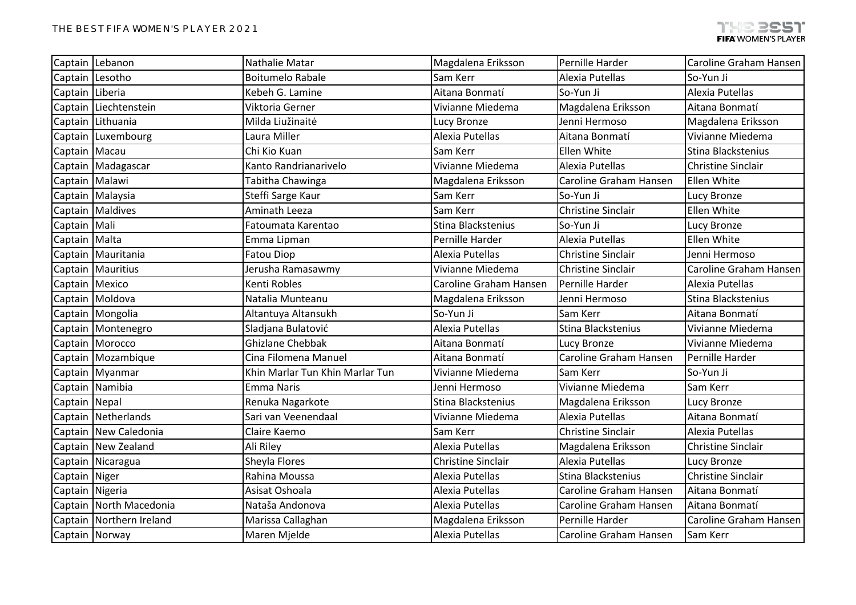|                 | Captain Lebanon          | Nathalie Matar                  | Magdalena Eriksson     | Pernille Harder           | Caroline Graham Hansen    |
|-----------------|--------------------------|---------------------------------|------------------------|---------------------------|---------------------------|
|                 | Captain Lesotho          | <b>Boitumelo Rabale</b>         | Sam Kerr               | Alexia Putellas           | So-Yun Ji                 |
| Captain Liberia |                          | Kebeh G. Lamine                 | Aitana Bonmatí         | So-Yun Ji                 | Alexia Putellas           |
|                 | Captain Liechtenstein    | Viktoria Gerner                 | Vivianne Miedema       | Magdalena Eriksson        | Aitana Bonmatí            |
|                 | Captain Lithuania        | Milda Liužinaitė                | Lucy Bronze            | Jenni Hermoso             | Magdalena Eriksson        |
|                 | Captain Luxembourg       | Laura Miller                    | Alexia Putellas        | Aitana Bonmatí            | Vivianne Miedema          |
| Captain Macau   |                          | Chi Kio Kuan                    | Sam Kerr               | Ellen White               | Stina Blackstenius        |
|                 | Captain   Madagascar     | Kanto Randrianarivelo           | Vivianne Miedema       | Alexia Putellas           | <b>Christine Sinclair</b> |
| Captain Malawi  |                          | Tabitha Chawinga                | Magdalena Eriksson     | Caroline Graham Hansen    | Ellen White               |
|                 | Captain Malaysia         | Steffi Sarge Kaur               | Sam Kerr               | So-Yun Ji                 | Lucy Bronze               |
|                 | Captain   Maldives       | Aminath Leeza                   | Sam Kerr               | <b>Christine Sinclair</b> | Ellen White               |
| Captain Mali    |                          | Fatoumata Karentao              | Stina Blackstenius     | So-Yun Ji                 | Lucy Bronze               |
| Captain Malta   |                          | Emma Lipman                     | Pernille Harder        | Alexia Putellas           | Ellen White               |
|                 | Captain   Mauritania     | <b>Fatou Diop</b>               | Alexia Putellas        | <b>Christine Sinclair</b> | Jenni Hermoso             |
|                 | Captain   Mauritius      | Jerusha Ramasawmy               | Vivianne Miedema       | <b>Christine Sinclair</b> | Caroline Graham Hansen    |
| Captain Mexico  |                          | Kenti Robles                    | Caroline Graham Hansen | Pernille Harder           | Alexia Putellas           |
|                 | Captain   Moldova        | Natalia Munteanu                | Magdalena Eriksson     | Jenni Hermoso             | Stina Blackstenius        |
|                 | Captain Mongolia         | Altantuya Altansukh             | So-Yun Ji              | Sam Kerr                  | Aitana Bonmatí            |
|                 | Captain   Montenegro     | Sladjana Bulatović              | Alexia Putellas        | Stina Blackstenius        | Vivianne Miedema          |
|                 | Captain Morocco          | <b>Ghizlane Chebbak</b>         | Aitana Bonmatí         | Lucy Bronze               | Vivianne Miedema          |
|                 | Captain   Mozambique     | Cina Filomena Manuel            | Aitana Bonmatí         | Caroline Graham Hansen    | Pernille Harder           |
|                 | Captain Myanmar          | Khin Marlar Tun Khin Marlar Tun | Vivianne Miedema       | Sam Kerr                  | So-Yun Ji                 |
|                 | Captain Namibia          | <b>Emma Naris</b>               | Jenni Hermoso          | Vivianne Miedema          | Sam Kerr                  |
| Captain Nepal   |                          | Renuka Nagarkote                | Stina Blackstenius     | Magdalena Eriksson        | Lucy Bronze               |
|                 | Captain Netherlands      | Sari van Veenendaal             | Vivianne Miedema       | Alexia Putellas           | Aitana Bonmatí            |
|                 | Captain New Caledonia    | Claire Kaemo                    | Sam Kerr               | <b>Christine Sinclair</b> | Alexia Putellas           |
|                 | Captain New Zealand      | Ali Riley                       | Alexia Putellas        | Magdalena Eriksson        | <b>Christine Sinclair</b> |
|                 | Captain Nicaragua        | Sheyla Flores                   | Christine Sinclair     | Alexia Putellas           | Lucy Bronze               |
| Captain Niger   |                          | Rahina Moussa                   | Alexia Putellas        | Stina Blackstenius        | <b>Christine Sinclair</b> |
| Captain Nigeria |                          | Asisat Oshoala                  | Alexia Putellas        | Caroline Graham Hansen    | Aitana Bonmatí            |
|                 | Captain North Macedonia  | Nataša Andonova                 | Alexia Putellas        | Caroline Graham Hansen    | Aitana Bonmatí            |
|                 | Captain Northern Ireland | Marissa Callaghan               | Magdalena Eriksson     | Pernille Harder           | Caroline Graham Hansen    |
|                 | Captain Norway           | Maren Mjelde                    | Alexia Putellas        | Caroline Graham Hansen    | Sam Kerr                  |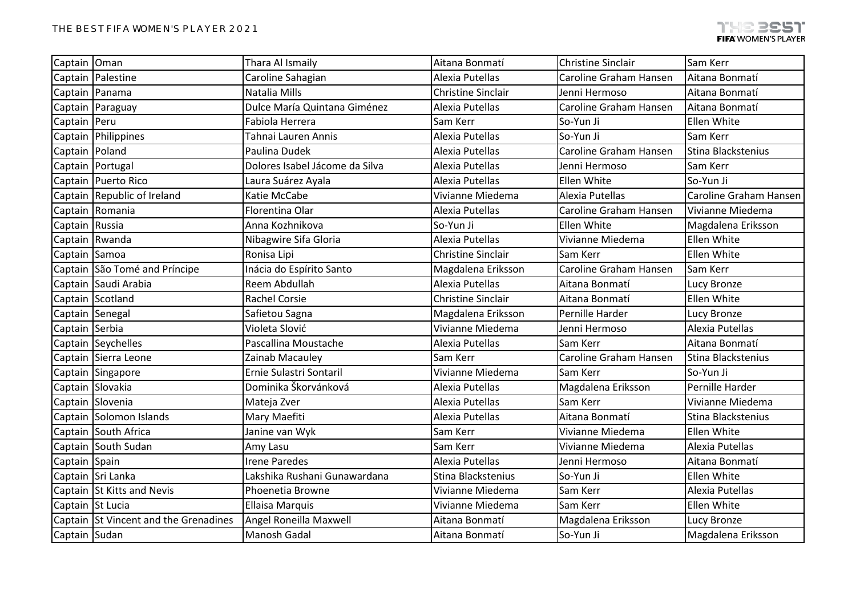| Captain Oman     |                                       | Thara Al Ismaily               | Aitana Bonmatí            | <b>Christine Sinclair</b> | Sam Kerr               |
|------------------|---------------------------------------|--------------------------------|---------------------------|---------------------------|------------------------|
|                  | Captain   Palestine                   | Caroline Sahagian              | Alexia Putellas           | Caroline Graham Hansen    | Aitana Bonmatí         |
| Captain Panama   |                                       | Natalia Mills                  | <b>Christine Sinclair</b> | Jenni Hermoso             | Aitana Bonmatí         |
|                  | Captain Paraguay                      | Dulce María Quintana Giménez   | Alexia Putellas           | Caroline Graham Hansen    | Aitana Bonmatí         |
| Captain Peru     |                                       | Fabiola Herrera                | Sam Kerr                  | So-Yun Ji                 | Ellen White            |
|                  | Captain Philippines                   | Tahnai Lauren Annis            | Alexia Putellas           | So-Yun Ji                 | Sam Kerr               |
| Captain Poland   |                                       | Paulina Dudek                  | Alexia Putellas           | Caroline Graham Hansen    | Stina Blackstenius     |
|                  | Captain   Portugal                    | Dolores Isabel Jácome da Silva | Alexia Putellas           | Jenni Hermoso             | Sam Kerr               |
|                  | Captain Puerto Rico                   | Laura Suárez Ayala             | Alexia Putellas           | Ellen White               | So-Yun Ji              |
|                  | Captain Republic of Ireland           | Katie McCabe                   | Vivianne Miedema          | Alexia Putellas           | Caroline Graham Hansen |
|                  | Captain Romania                       | Florentina Olar                | Alexia Putellas           | Caroline Graham Hansen    | Vivianne Miedema       |
| Captain Russia   |                                       | Anna Kozhnikova                | So-Yun Ji                 | Ellen White               | Magdalena Eriksson     |
|                  | Captain Rwanda                        | Nibagwire Sifa Gloria          | Alexia Putellas           | Vivianne Miedema          | Ellen White            |
| Captain Samoa    |                                       | Ronisa Lipi                    | <b>Christine Sinclair</b> | Sam Kerr                  | Ellen White            |
|                  | Captain São Tomé and Príncipe         | Inácia do Espírito Santo       | Magdalena Eriksson        | Caroline Graham Hansen    | Sam Kerr               |
|                  | Captain Saudi Arabia                  | Reem Abdullah                  | Alexia Putellas           | Aitana Bonmatí            | Lucy Bronze            |
|                  | Captain Scotland                      | Rachel Corsie                  | <b>Christine Sinclair</b> | Aitana Bonmatí            | Ellen White            |
| Captain Senegal  |                                       | Safietou Sagna                 | Magdalena Eriksson        | Pernille Harder           | Lucy Bronze            |
| Captain Serbia   |                                       | Violeta Slović                 | Vivianne Miedema          | Jenni Hermoso             | Alexia Putellas        |
|                  | Captain Seychelles                    | Pascallina Moustache           | Alexia Putellas           | Sam Kerr                  | Aitana Bonmatí         |
|                  | Captain Sierra Leone                  | Zainab Macauley                | Sam Kerr                  | Caroline Graham Hansen    | Stina Blackstenius     |
|                  | Captain Singapore                     | Ernie Sulastri Sontaril        | Vivianne Miedema          | Sam Kerr                  | So-Yun Ji              |
| Captain Slovakia |                                       | Dominika Škorvánková           | Alexia Putellas           | Magdalena Eriksson        | Pernille Harder        |
|                  | Captain Slovenia                      | Mateja Zver                    | Alexia Putellas           | Sam Kerr                  | Vivianne Miedema       |
|                  | Captain Solomon Islands               | Mary Maefiti                   | Alexia Putellas           | Aitana Bonmatí            | Stina Blackstenius     |
|                  | Captain South Africa                  | Janine van Wyk                 | Sam Kerr                  | Vivianne Miedema          | Ellen White            |
|                  | Captain South Sudan                   | Amy Lasu                       | Sam Kerr                  | Vivianne Miedema          | Alexia Putellas        |
| Captain Spain    |                                       | <b>Irene Paredes</b>           | Alexia Putellas           | Jenni Hermoso             | Aitana Bonmatí         |
|                  | Captain Sri Lanka                     | Lakshika Rushani Gunawardana   | Stina Blackstenius        | So-Yun Ji                 | Ellen White            |
|                  | Captain St Kitts and Nevis            | Phoenetia Browne               | Vivianne Miedema          | Sam Kerr                  | Alexia Putellas        |
| Captain St Lucia |                                       | <b>Ellaisa Marquis</b>         | Vivianne Miedema          | Sam Kerr                  | Ellen White            |
|                  | Captain St Vincent and the Grenadines | Angel Roneilla Maxwell         | Aitana Bonmatí            | Magdalena Eriksson        | Lucy Bronze            |
| Captain Sudan    |                                       | Manosh Gadal                   | Aitana Bonmatí            | So-Yun Ji                 | Magdalena Eriksson     |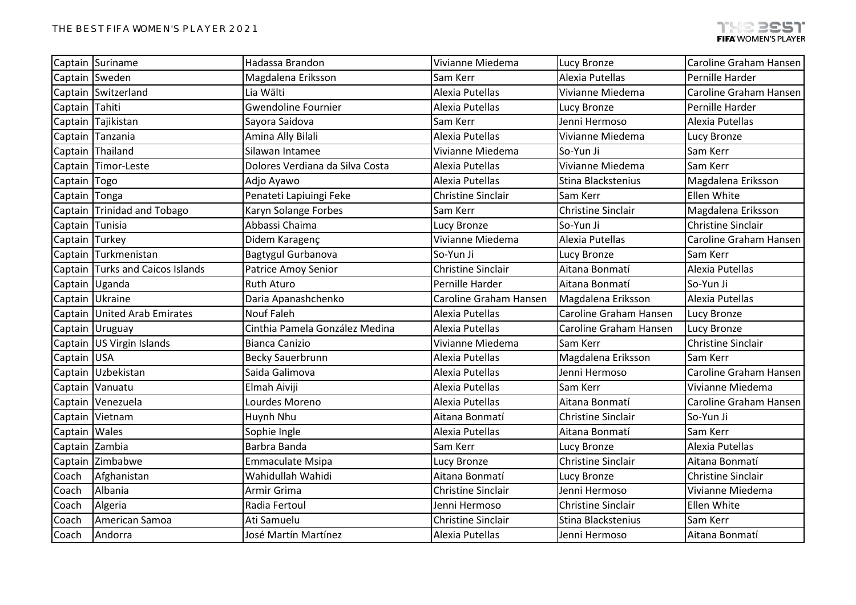|                 | Captain Suriname                 | Hadassa Brandon                 | Vivianne Miedema          | <b>Lucy Bronze</b>        | Caroline Graham Hansen    |
|-----------------|----------------------------------|---------------------------------|---------------------------|---------------------------|---------------------------|
|                 | Captain Sweden                   | Magdalena Eriksson              | Sam Kerr                  | Alexia Putellas           | Pernille Harder           |
|                 | Captain Switzerland              | Lia Wälti                       | Alexia Putellas           | Vivianne Miedema          | Caroline Graham Hansen    |
| Captain Tahiti  |                                  | <b>Gwendoline Fournier</b>      | Alexia Putellas           | Lucy Bronze               | Pernille Harder           |
|                 | Captain Tajikistan               | Sayora Saidova                  | Sam Kerr                  | Jenni Hermoso             | Alexia Putellas           |
|                 | Captain Tanzania                 | Amina Ally Bilali               | Alexia Putellas           | Vivianne Miedema          | <b>Lucy Bronze</b>        |
|                 | Captain Thailand                 | Silawan Intamee                 | Vivianne Miedema          | So-Yun Ji                 | Sam Kerr                  |
|                 | Captain Timor-Leste              | Dolores Verdiana da Silva Costa | Alexia Putellas           | Vivianne Miedema          | Sam Kerr                  |
| Captain Togo    |                                  | Adjo Ayawo                      | Alexia Putellas           | Stina Blackstenius        | Magdalena Eriksson        |
| Captain Tonga   |                                  | Penateti Lapiuingi Feke         | <b>Christine Sinclair</b> | Sam Kerr                  | Ellen White               |
|                 | Captain Trinidad and Tobago      | Karyn Solange Forbes            | Sam Kerr                  | <b>Christine Sinclair</b> | Magdalena Eriksson        |
| Captain Tunisia |                                  | Abbassi Chaima                  | Lucy Bronze               | So-Yun Ji                 | <b>Christine Sinclair</b> |
| Captain Turkey  |                                  | Didem Karagenç                  | Vivianne Miedema          | Alexia Putellas           | Caroline Graham Hansen    |
|                 | Captain Turkmenistan             | Bagtygul Gurbanova              | So-Yun Ji                 | Lucy Bronze               | Sam Kerr                  |
|                 | Captain Turks and Caicos Islands | Patrice Amoy Senior             | <b>Christine Sinclair</b> | Aitana Bonmatí            | Alexia Putellas           |
|                 | Captain Uganda                   | Ruth Aturo                      | Pernille Harder           | Aitana Bonmatí            | So-Yun Ji                 |
|                 | Captain Ukraine                  | Daria Apanashchenko             | Caroline Graham Hansen    | Magdalena Eriksson        | Alexia Putellas           |
|                 | Captain United Arab Emirates     | <b>Nouf Faleh</b>               | Alexia Putellas           | Caroline Graham Hansen    | Lucy Bronze               |
|                 | Captain Uruguay                  | Cinthia Pamela González Medina  | Alexia Putellas           | Caroline Graham Hansen    | <b>Lucy Bronze</b>        |
|                 | Captain US Virgin Islands        | <b>Bianca Canizio</b>           | Vivianne Miedema          | Sam Kerr                  | <b>Christine Sinclair</b> |
| Captain USA     |                                  | <b>Becky Sauerbrunn</b>         | Alexia Putellas           | Magdalena Eriksson        | Sam Kerr                  |
|                 | Captain Uzbekistan               | Saida Galimova                  | Alexia Putellas           | Jenni Hermoso             | Caroline Graham Hansen    |
|                 | Captain Vanuatu                  | Elmah Aiviji                    | Alexia Putellas           | Sam Kerr                  | Vivianne Miedema          |
|                 | Captain Venezuela                | Lourdes Moreno                  | Alexia Putellas           | Aitana Bonmatí            | Caroline Graham Hansen    |
|                 | Captain Vietnam                  | Huynh Nhu                       | Aitana Bonmatí            | <b>Christine Sinclair</b> | So-Yun Ji                 |
| Captain   Wales |                                  | Sophie Ingle                    | Alexia Putellas           | Aitana Bonmatí            | Sam Kerr                  |
| Captain Zambia  |                                  | Barbra Banda                    | Sam Kerr                  | Lucy Bronze               | Alexia Putellas           |
|                 | Captain Zimbabwe                 | <b>Emmaculate Msipa</b>         | Lucy Bronze               | <b>Christine Sinclair</b> | Aitana Bonmatí            |
| Coach           | Afghanistan                      | Wahidullah Wahidi               | Aitana Bonmatí            | Lucy Bronze               | <b>Christine Sinclair</b> |
| Coach           | Albania                          | Armir Grima                     | <b>Christine Sinclair</b> | Jenni Hermoso             | Vivianne Miedema          |
| Coach           | Algeria                          | Radia Fertoul                   | Jenni Hermoso             | Christine Sinclair        | Ellen White               |
| Coach           | American Samoa                   | Ati Samuelu                     | Christine Sinclair        | Stina Blackstenius        | Sam Kerr                  |
| Coach           | Andorra                          | José Martín Martínez            | Alexia Putellas           | Jenni Hermoso             | Aitana Bonmatí            |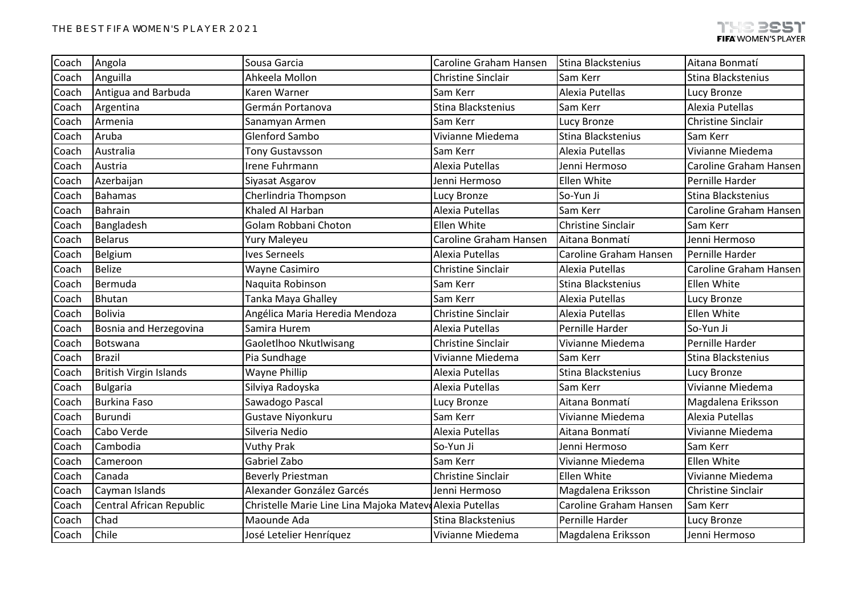| Coach | Angola                        | Sousa Garcia                                            | Caroline Graham Hansen    | Stina Blackstenius        | Aitana Bonmatí            |
|-------|-------------------------------|---------------------------------------------------------|---------------------------|---------------------------|---------------------------|
| Coach | Anguilla                      | Ahkeela Mollon                                          | <b>Christine Sinclair</b> | Sam Kerr                  | Stina Blackstenius        |
| Coach | Antigua and Barbuda           | Karen Warner                                            | Sam Kerr                  | Alexia Putellas           | Lucy Bronze               |
| Coach | Argentina                     | Germán Portanova                                        | Stina Blackstenius        | Sam Kerr                  | Alexia Putellas           |
| Coach | Armenia                       | Sanamyan Armen                                          | Sam Kerr                  | Lucy Bronze               | <b>Christine Sinclair</b> |
| Coach | Aruba                         | <b>Glenford Sambo</b>                                   | Vivianne Miedema          | Stina Blackstenius        | Sam Kerr                  |
| Coach | Australia                     | Tony Gustavsson                                         | Sam Kerr                  | Alexia Putellas           | Vivianne Miedema          |
| Coach | Austria                       | Irene Fuhrmann                                          | Alexia Putellas           | Jenni Hermoso             | Caroline Graham Hansen    |
| Coach | Azerbaijan                    | Siyasat Asgarov                                         | Jenni Hermoso             | Ellen White               | Pernille Harder           |
| Coach | <b>Bahamas</b>                | Cherlindria Thompson                                    | Lucy Bronze               | So-Yun Ji                 | Stina Blackstenius        |
| Coach | <b>Bahrain</b>                | Khaled Al Harban                                        | Alexia Putellas           | Sam Kerr                  | Caroline Graham Hansen    |
| Coach | Bangladesh                    | Golam Robbani Choton                                    | Ellen White               | <b>Christine Sinclair</b> | Sam Kerr                  |
| Coach | <b>Belarus</b>                | Yury Maleyeu                                            | Caroline Graham Hansen    | Aitana Bonmatí            | Jenni Hermoso             |
| Coach | Belgium                       | <b>Ives Serneels</b>                                    | Alexia Putellas           | Caroline Graham Hansen    | Pernille Harder           |
| Coach | <b>Belize</b>                 | Wayne Casimiro                                          | Christine Sinclair        | Alexia Putellas           | Caroline Graham Hansen    |
| Coach | Bermuda                       | Naquita Robinson                                        | Sam Kerr                  | Stina Blackstenius        | Ellen White               |
| Coach | Bhutan                        | Tanka Maya Ghalley                                      | Sam Kerr                  | Alexia Putellas           | Lucy Bronze               |
| Coach | <b>Bolivia</b>                | Angélica Maria Heredia Mendoza                          | <b>Christine Sinclair</b> | Alexia Putellas           | Ellen White               |
| Coach | Bosnia and Herzegovina        | Samira Hurem                                            | Alexia Putellas           | Pernille Harder           | So-Yun Ji                 |
| Coach | Botswana                      | Gaoletlhoo Nkutlwisang                                  | <b>Christine Sinclair</b> | Vivianne Miedema          | Pernille Harder           |
| Coach | <b>Brazil</b>                 | Pia Sundhage                                            | Vivianne Miedema          | Sam Kerr                  | Stina Blackstenius        |
| Coach | <b>British Virgin Islands</b> | Wayne Phillip                                           | Alexia Putellas           | Stina Blackstenius        | Lucy Bronze               |
| Coach | <b>Bulgaria</b>               | Silviya Radoyska                                        | Alexia Putellas           | Sam Kerr                  | Vivianne Miedema          |
| Coach | <b>Burkina Faso</b>           | Sawadogo Pascal                                         | Lucy Bronze               | Aitana Bonmatí            | Magdalena Eriksson        |
| Coach | Burundi                       | Gustave Niyonkuru                                       | Sam Kerr                  | Vivianne Miedema          | Alexia Putellas           |
| Coach | Cabo Verde                    | Silveria Nedio                                          | Alexia Putellas           | Aitana Bonmatí            | Vivianne Miedema          |
| Coach | Cambodia                      | <b>Vuthy Prak</b>                                       | So-Yun Ji                 | Jenni Hermoso             | Sam Kerr                  |
| Coach | Cameroon                      | Gabriel Zabo                                            | Sam Kerr                  | Vivianne Miedema          | Ellen White               |
| Coach | Canada                        | <b>Beverly Priestman</b>                                | <b>Christine Sinclair</b> | Ellen White               | Vivianne Miedema          |
| Coach | Cayman Islands                | Alexander González Garcés                               | Jenni Hermoso             | Magdalena Eriksson        | <b>Christine Sinclair</b> |
| Coach | Central African Republic      | Christelle Marie Line Lina Majoka Matev Alexia Putellas |                           | Caroline Graham Hansen    | Sam Kerr                  |
| Coach | Chad                          | Maounde Ada                                             | Stina Blackstenius        | Pernille Harder           | Lucy Bronze               |
| Coach | Chile                         | José Letelier Henríquez                                 | Vivianne Miedema          | Magdalena Eriksson        | Jenni Hermoso             |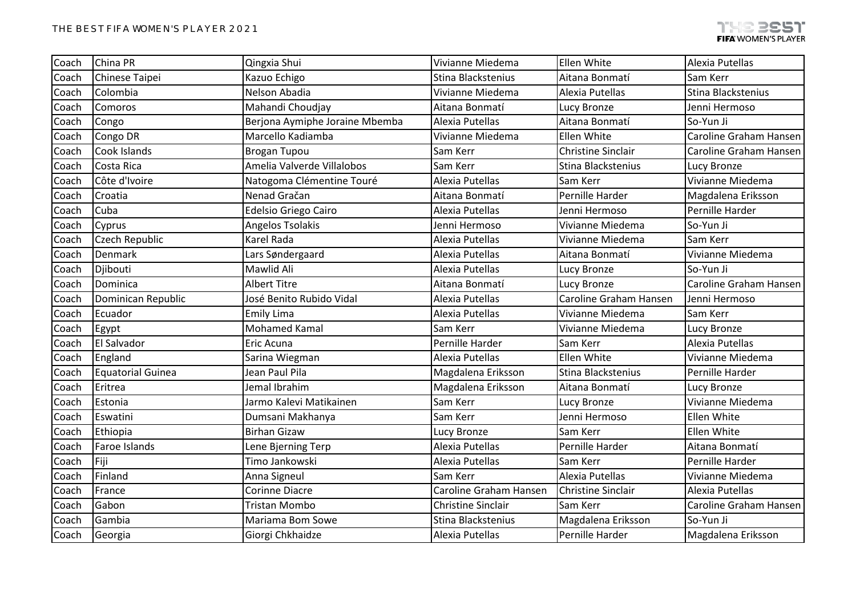| Coach | China PR                 | Qingxia Shui                   | Vivianne Miedema          | Ellen White               | Alexia Putellas               |
|-------|--------------------------|--------------------------------|---------------------------|---------------------------|-------------------------------|
| Coach | Chinese Taipei           | Kazuo Echigo                   | Stina Blackstenius        | Aitana Bonmatí            | Sam Kerr                      |
| Coach | Colombia                 | Nelson Abadia                  | Vivianne Miedema          | Alexia Putellas           | Stina Blackstenius            |
| Coach | Comoros                  | Mahandi Choudjay               | Aitana Bonmatí            | Lucy Bronze               | Jenni Hermoso                 |
| Coach | Congo                    | Berjona Aymiphe Joraine Mbemba | Alexia Putellas           | Aitana Bonmatí            | So-Yun Ji                     |
| Coach | Congo DR                 | Marcello Kadiamba              | Vivianne Miedema          | Ellen White               | Caroline Graham Hansen        |
| Coach | Cook Islands             | <b>Brogan Tupou</b>            | Sam Kerr                  | <b>Christine Sinclair</b> | <b>Caroline Graham Hansen</b> |
| Coach | Costa Rica               | Amelia Valverde Villalobos     | Sam Kerr                  | Stina Blackstenius        | Lucy Bronze                   |
| Coach | Côte d'Ivoire            | Natogoma Clémentine Touré      | Alexia Putellas           | Sam Kerr                  | Vivianne Miedema              |
| Coach | Croatia                  | Nenad Gračan                   | Aitana Bonmatí            | Pernille Harder           | Magdalena Eriksson            |
| Coach | Cuba                     | Edelsio Griego Cairo           | Alexia Putellas           | Jenni Hermoso             | Pernille Harder               |
| Coach | Cyprus                   | Angelos Tsolakis               | Jenni Hermoso             | Vivianne Miedema          | So-Yun Ji                     |
| Coach | Czech Republic           | Karel Rada                     | Alexia Putellas           | Vivianne Miedema          | Sam Kerr                      |
| Coach | Denmark                  | Lars Søndergaard               | Alexia Putellas           | Aitana Bonmatí            | Vivianne Miedema              |
| Coach | Djibouti                 | Mawlid Ali                     | Alexia Putellas           | Lucy Bronze               | So-Yun Ji                     |
| Coach | Dominica                 | <b>Albert Titre</b>            | Aitana Bonmatí            | Lucy Bronze               | Caroline Graham Hansen        |
| Coach | Dominican Republic       | José Benito Rubido Vidal       | Alexia Putellas           | Caroline Graham Hansen    | Jenni Hermoso                 |
| Coach | Ecuador                  | Emily Lima                     | Alexia Putellas           | Vivianne Miedema          | Sam Kerr                      |
| Coach | Egypt                    | <b>Mohamed Kamal</b>           | Sam Kerr                  | Vivianne Miedema          | Lucy Bronze                   |
| Coach | El Salvador              | Eric Acuna                     | Pernille Harder           | Sam Kerr                  | Alexia Putellas               |
| Coach | England                  | Sarina Wiegman                 | Alexia Putellas           | Ellen White               | Vivianne Miedema              |
| Coach | <b>Equatorial Guinea</b> | Jean Paul Pila                 | Magdalena Eriksson        | Stina Blackstenius        | Pernille Harder               |
| Coach | Eritrea                  | Jemal Ibrahim                  | Magdalena Eriksson        | Aitana Bonmatí            | Lucy Bronze                   |
| Coach | Estonia                  | Jarmo Kalevi Matikainen        | Sam Kerr                  | Lucy Bronze               | Vivianne Miedema              |
| Coach | Eswatini                 | Dumsani Makhanya               | Sam Kerr                  | Jenni Hermoso             | Ellen White                   |
| Coach | Ethiopia                 | <b>Birhan Gizaw</b>            | Lucy Bronze               | Sam Kerr                  | Ellen White                   |
| Coach | Faroe Islands            | Lene Bjerning Terp             | Alexia Putellas           | Pernille Harder           | Aitana Bonmatí                |
| Coach | Fiji                     | Timo Jankowski                 | Alexia Putellas           | Sam Kerr                  | Pernille Harder               |
| Coach | Finland                  | Anna Signeul                   | Sam Kerr                  | Alexia Putellas           | Vivianne Miedema              |
| Coach | France                   | Corinne Diacre                 | Caroline Graham Hansen    | Christine Sinclair        | Alexia Putellas               |
| Coach | Gabon                    | Tristan Mombo                  | <b>Christine Sinclair</b> | Sam Kerr                  | Caroline Graham Hansen        |
| Coach | Gambia                   | Mariama Bom Sowe               | Stina Blackstenius        | Magdalena Eriksson        | So-Yun Ji                     |
| Coach | Georgia                  | Giorgi Chkhaidze               | Alexia Putellas           | Pernille Harder           | Magdalena Eriksson            |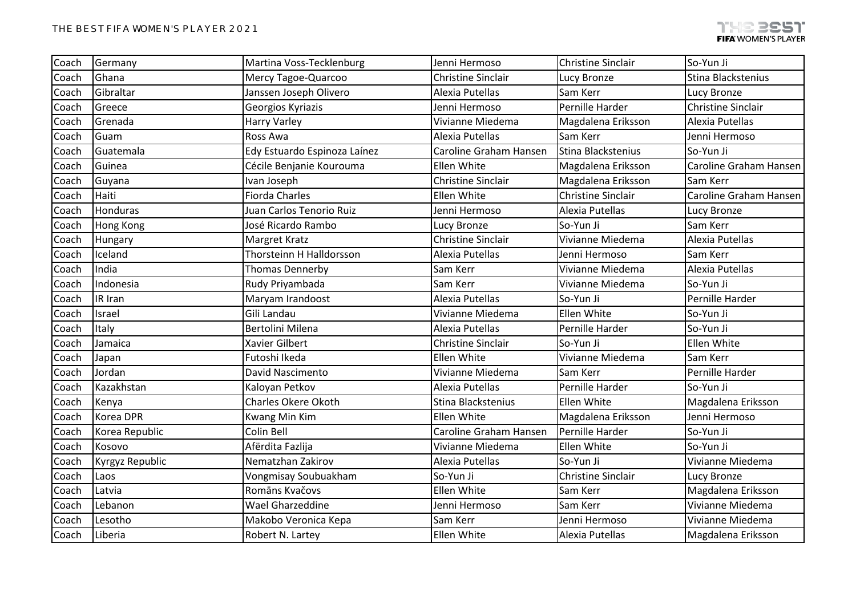| Coach | Germany         | Martina Voss-Tecklenburg     | Jenni Hermoso             | <b>Christine Sinclair</b> | So-Yun Ji                 |
|-------|-----------------|------------------------------|---------------------------|---------------------------|---------------------------|
| Coach | Ghana           | Mercy Tagoe-Quarcoo          | <b>Christine Sinclair</b> | Lucy Bronze               | Stina Blackstenius        |
| Coach | Gibraltar       | Janssen Joseph Olivero       | Alexia Putellas           | Sam Kerr                  | Lucy Bronze               |
| Coach | Greece          | Georgios Kyriazis            | Jenni Hermoso             | Pernille Harder           | <b>Christine Sinclair</b> |
| Coach | Grenada         | <b>Harry Varley</b>          | Vivianne Miedema          | Magdalena Eriksson        | Alexia Putellas           |
| Coach | Guam            | Ross Awa                     | Alexia Putellas           | Sam Kerr                  | Jenni Hermoso             |
| Coach | Guatemala       | Edy Estuardo Espinoza Laínez | Caroline Graham Hansen    | Stina Blackstenius        | So-Yun Ji                 |
| Coach | Guinea          | Cécile Benjanie Kourouma     | Ellen White               | Magdalena Eriksson        | Caroline Graham Hansen    |
| Coach | Guyana          | Ivan Joseph                  | <b>Christine Sinclair</b> | Magdalena Eriksson        | Sam Kerr                  |
| Coach | Haiti           | <b>Fiorda Charles</b>        | Ellen White               | <b>Christine Sinclair</b> | Caroline Graham Hansen    |
| Coach | Honduras        | Juan Carlos Tenorio Ruiz     | Jenni Hermoso             | Alexia Putellas           | <b>Lucy Bronze</b>        |
| Coach | Hong Kong       | José Ricardo Rambo           | Lucy Bronze               | So-Yun Ji                 | Sam Kerr                  |
| Coach | Hungary         | Margret Kratz                | <b>Christine Sinclair</b> | Vivianne Miedema          | Alexia Putellas           |
| Coach | Iceland         | Thorsteinn H Halldorsson     | Alexia Putellas           | Jenni Hermoso             | Sam Kerr                  |
| Coach | India           | Thomas Dennerby              | Sam Kerr                  | Vivianne Miedema          | Alexia Putellas           |
| Coach | Indonesia       | Rudy Priyambada              | Sam Kerr                  | Vivianne Miedema          | So-Yun Ji                 |
| Coach | IR Iran         | Maryam Irandoost             | Alexia Putellas           | So-Yun Ji                 | Pernille Harder           |
| Coach | Israel          | Gili Landau                  | Vivianne Miedema          | Ellen White               | So-Yun Ji                 |
| Coach | Italy           | Bertolini Milena             | Alexia Putellas           | Pernille Harder           | So-Yun Ji                 |
| Coach | Jamaica         | Xavier Gilbert               | <b>Christine Sinclair</b> | So-Yun Ji                 | Ellen White               |
| Coach | Japan           | Futoshi Ikeda                | Ellen White               | Vivianne Miedema          | Sam Kerr                  |
| Coach | Jordan          | David Nascimento             | Vivianne Miedema          | Sam Kerr                  | Pernille Harder           |
| Coach | Kazakhstan      | Kaloyan Petkov               | Alexia Putellas           | Pernille Harder           | So-Yun Ji                 |
| Coach | Kenya           | <b>Charles Okere Okoth</b>   | <b>Stina Blackstenius</b> | Ellen White               | Magdalena Eriksson        |
| Coach | Korea DPR       | <b>Kwang Min Kim</b>         | Ellen White               | Magdalena Eriksson        | Jenni Hermoso             |
| Coach | Korea Republic  | Colin Bell                   | Caroline Graham Hansen    | Pernille Harder           | So-Yun Ji                 |
| Coach | Kosovo          | Afërdita Fazlija             | Vivianne Miedema          | <b>Ellen White</b>        | So-Yun Ji                 |
| Coach | Kyrgyz Republic | Nematzhan Zakirov            | Alexia Putellas           | So-Yun Ji                 | Vivianne Miedema          |
| Coach | Laos            | Vongmisay Soubuakham         | So-Yun Ji                 | <b>Christine Sinclair</b> | <b>Lucy Bronze</b>        |
| Coach | Latvia          | Romāns Kvačovs               | Ellen White               | Sam Kerr                  | Magdalena Eriksson        |
| Coach | Lebanon         | Wael Gharzeddine             | Jenni Hermoso             | Sam Kerr                  | Vivianne Miedema          |
| Coach | Lesotho         | Makobo Veronica Kepa         | Sam Kerr                  | Jenni Hermoso             | Vivianne Miedema          |
| Coach | Liberia         | Robert N. Lartey             | Ellen White               | Alexia Putellas           | Magdalena Eriksson        |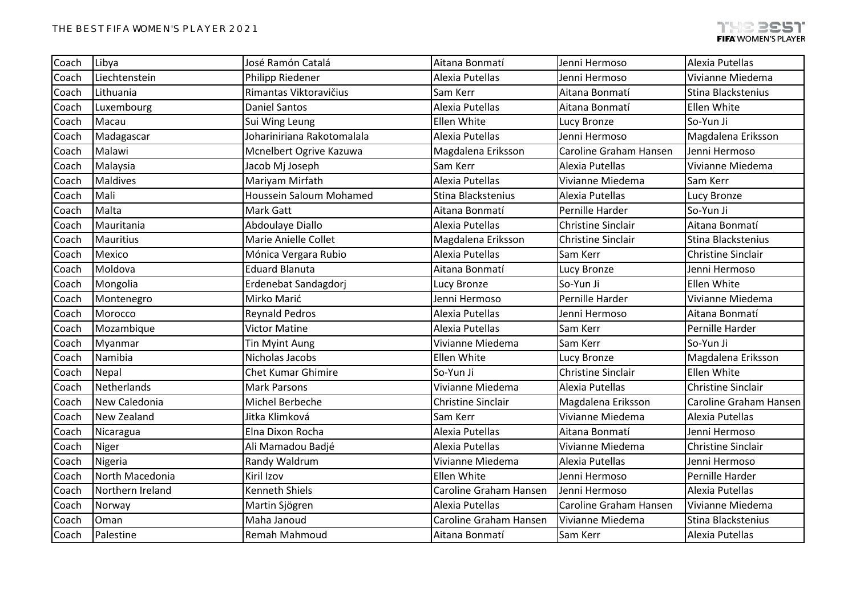| Coach | Libya              | José Ramón Catalá          | Aitana Bonmatí            | Jenni Hermoso             | Alexia Putellas           |
|-------|--------------------|----------------------------|---------------------------|---------------------------|---------------------------|
| Coach | Liechtenstein      | Philipp Riedener           | Alexia Putellas           | Jenni Hermoso             | Vivianne Miedema          |
| Coach | Lithuania          | Rimantas Viktoravičius     | Sam Kerr                  | Aitana Bonmatí            | Stina Blackstenius        |
| Coach | Luxembourg         | <b>Daniel Santos</b>       | Alexia Putellas           | Aitana Bonmatí            | Ellen White               |
| Coach | Macau              | Sui Wing Leung             | Ellen White               | Lucy Bronze               | So-Yun Ji                 |
| Coach | Madagascar         | Johariniriana Rakotomalala | Alexia Putellas           | Jenni Hermoso             | Magdalena Eriksson        |
| Coach | Malawi             | Mcnelbert Ogrive Kazuwa    | Magdalena Eriksson        | Caroline Graham Hansen    | Jenni Hermoso             |
| Coach | Malaysia           | Jacob Mj Joseph            | Sam Kerr                  | Alexia Putellas           | Vivianne Miedema          |
| Coach | Maldives           | Mariyam Mirfath            | Alexia Putellas           | Vivianne Miedema          | Sam Kerr                  |
| Coach | Mali               | Houssein Saloum Mohamed    | Stina Blackstenius        | Alexia Putellas           | Lucy Bronze               |
| Coach | Malta              | Mark Gatt                  | Aitana Bonmatí            | Pernille Harder           | So-Yun Ji                 |
| Coach | Mauritania         | Abdoulaye Diallo           | Alexia Putellas           | <b>Christine Sinclair</b> | Aitana Bonmatí            |
| Coach | <b>Mauritius</b>   | Marie Anielle Collet       | Magdalena Eriksson        | <b>Christine Sinclair</b> | Stina Blackstenius        |
| Coach | Mexico             | Mónica Vergara Rubio       | Alexia Putellas           | Sam Kerr                  | <b>Christine Sinclair</b> |
| Coach | Moldova            | <b>Eduard Blanuta</b>      | Aitana Bonmatí            | Lucy Bronze               | Jenni Hermoso             |
| Coach | Mongolia           | Erdenebat Sandagdorj       | Lucy Bronze               | So-Yun Ji                 | Ellen White               |
| Coach | Montenegro         | Mirko Marić                | Jenni Hermoso             | Pernille Harder           | Vivianne Miedema          |
| Coach | Morocco            | <b>Reynald Pedros</b>      | Alexia Putellas           | Jenni Hermoso             | Aitana Bonmatí            |
| Coach | Mozambique         | <b>Victor Matine</b>       | Alexia Putellas           | Sam Kerr                  | Pernille Harder           |
| Coach | Myanmar            | Tin Myint Aung             | Vivianne Miedema          | Sam Kerr                  | So-Yun Ji                 |
| Coach | Namibia            | Nicholas Jacobs            | Ellen White               | Lucy Bronze               | Magdalena Eriksson        |
| Coach | Nepal              | <b>Chet Kumar Ghimire</b>  | So-Yun Ji                 | <b>Christine Sinclair</b> | Ellen White               |
| Coach | Netherlands        | <b>Mark Parsons</b>        | Vivianne Miedema          | Alexia Putellas           | <b>Christine Sinclair</b> |
| Coach | New Caledonia      | Michel Berbeche            | <b>Christine Sinclair</b> | Magdalena Eriksson        | Caroline Graham Hansen    |
| Coach | <b>New Zealand</b> | Jitka Klimková             | Sam Kerr                  | Vivianne Miedema          | Alexia Putellas           |
| Coach | Nicaragua          | Elna Dixon Rocha           | Alexia Putellas           | Aitana Bonmatí            | Jenni Hermoso             |
| Coach | Niger              | Ali Mamadou Badjé          | Alexia Putellas           | Vivianne Miedema          | <b>Christine Sinclair</b> |
| Coach | Nigeria            | Randy Waldrum              | Vivianne Miedema          | Alexia Putellas           | Jenni Hermoso             |
| Coach | North Macedonia    | Kiril Izov                 | Ellen White               | Jenni Hermoso             | Pernille Harder           |
| Coach | Northern Ireland   | Kenneth Shiels             | Caroline Graham Hansen    | Jenni Hermoso             | Alexia Putellas           |
| Coach | Norway             | Martin Sjögren             | Alexia Putellas           | Caroline Graham Hansen    | Vivianne Miedema          |
| Coach | Oman               | Maha Janoud                | Caroline Graham Hansen    | Vivianne Miedema          | Stina Blackstenius        |
| Coach | Palestine          | Remah Mahmoud              | Aitana Bonmatí            | Sam Kerr                  | Alexia Putellas           |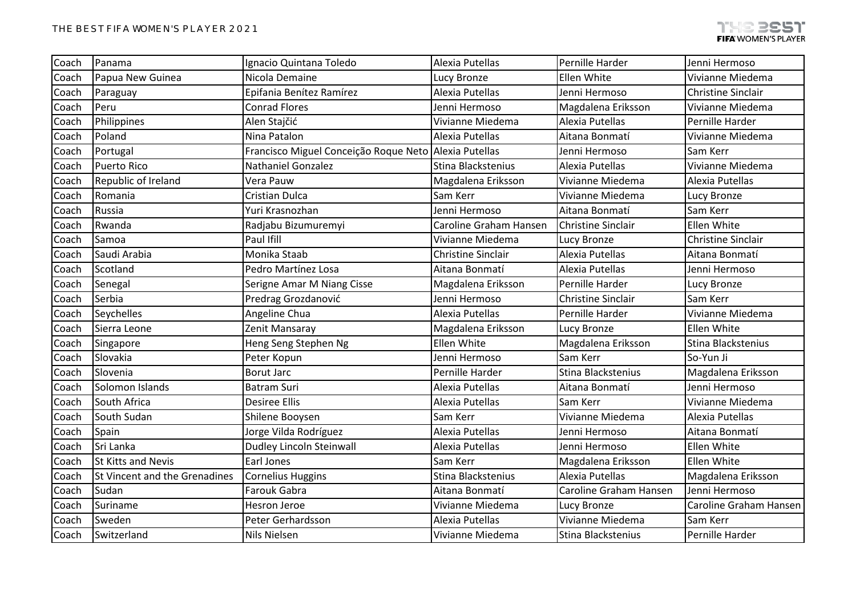| Coach                                                               | Panama                        | Ignacio Quintana Toledo                               | Alexia Putellas           | Pernille Harder           | Jenni Hermoso             |
|---------------------------------------------------------------------|-------------------------------|-------------------------------------------------------|---------------------------|---------------------------|---------------------------|
| Coach                                                               | Papua New Guinea              | Nicola Demaine                                        | Lucy Bronze               | Ellen White               | Vivianne Miedema          |
| Coach                                                               | Paraguay                      | Epifania Benítez Ramírez                              | Alexia Putellas           | Jenni Hermoso             | <b>Christine Sinclair</b> |
| Coach                                                               | Peru                          | <b>Conrad Flores</b>                                  | Jenni Hermoso             | Magdalena Eriksson        | Vivianne Miedema          |
| Coach                                                               | Philippines                   | Alen Stajčić                                          | Vivianne Miedema          | Alexia Putellas           | Pernille Harder           |
| Coach                                                               | Poland                        | Nina Patalon                                          | Alexia Putellas           | Aitana Bonmatí            | Vivianne Miedema          |
| Coach                                                               | Portugal                      | Francisco Miguel Conceição Roque Neto Alexia Putellas |                           | Jenni Hermoso             | Sam Kerr                  |
| Coach                                                               | <b>Puerto Rico</b>            | <b>Nathaniel Gonzalez</b>                             | Stina Blackstenius        | Alexia Putellas           | Vivianne Miedema          |
| Republic of Ireland<br>Coach<br>Romania<br>Coach<br>Russia<br>Coach |                               | Vera Pauw                                             | Magdalena Eriksson        | Vivianne Miedema          | Alexia Putellas           |
|                                                                     |                               | Cristian Dulca                                        | Sam Kerr                  | Vivianne Miedema          | Lucy Bronze               |
| Rwanda<br>Coach<br>Coach<br>Samoa                                   |                               | Yuri Krasnozhan                                       | Jenni Hermoso             | Aitana Bonmatí            | Sam Kerr                  |
|                                                                     |                               | Radjabu Bizumuremyi                                   | Caroline Graham Hansen    | <b>Christine Sinclair</b> | Ellen White               |
|                                                                     |                               | Paul Ifill                                            | Vivianne Miedema          | Lucy Bronze               | <b>Christine Sinclair</b> |
| Coach                                                               | Saudi Arabia                  | Monika Staab                                          | <b>Christine Sinclair</b> | Alexia Putellas           | Aitana Bonmatí            |
| Coach                                                               | Scotland                      | Pedro Martínez Losa                                   | Aitana Bonmatí            | Alexia Putellas           | Jenni Hermoso             |
| Coach                                                               | Senegal                       | Serigne Amar M Niang Cisse                            | Magdalena Eriksson        | Pernille Harder           | Lucy Bronze               |
| Coach                                                               | Serbia                        | Predrag Grozdanović                                   | Jenni Hermoso             | <b>Christine Sinclair</b> | Sam Kerr                  |
| Coach                                                               | Seychelles                    | Angeline Chua                                         | Alexia Putellas           | Pernille Harder           | Vivianne Miedema          |
| Coach                                                               | Sierra Leone                  | Zenit Mansaray                                        | Magdalena Eriksson        | Lucy Bronze               | <b>Ellen White</b>        |
| Coach                                                               | Singapore                     | Heng Seng Stephen Ng                                  | Ellen White               | Magdalena Eriksson        | Stina Blackstenius        |
| Coach                                                               | Slovakia                      | Peter Kopun                                           | Jenni Hermoso             | Sam Kerr                  | So-Yun Ji                 |
| Coach                                                               | Slovenia                      | <b>Borut Jarc</b>                                     | Pernille Harder           | Stina Blackstenius        | Magdalena Eriksson        |
| Coach                                                               | Solomon Islands               | Batram Suri                                           | Alexia Putellas           | Aitana Bonmatí            | Jenni Hermoso             |
| Coach                                                               | South Africa                  | <b>Desiree Ellis</b>                                  | Alexia Putellas           | Sam Kerr                  | Vivianne Miedema          |
| Coach                                                               | South Sudan                   | Shilene Booysen                                       | Sam Kerr                  | Vivianne Miedema          | Alexia Putellas           |
| Coach                                                               | Spain                         | Jorge Vilda Rodríguez                                 | Alexia Putellas           | Jenni Hermoso             | Aitana Bonmatí            |
| Coach                                                               | Sri Lanka                     | <b>Dudley Lincoln Steinwall</b>                       | Alexia Putellas           | Jenni Hermoso             | Ellen White               |
| Coach                                                               | St Kitts and Nevis            | Earl Jones                                            | Sam Kerr                  | Magdalena Eriksson        | Ellen White               |
| Coach                                                               | St Vincent and the Grenadines | <b>Cornelius Huggins</b>                              | Stina Blackstenius        | Alexia Putellas           | Magdalena Eriksson        |
| Coach                                                               | Sudan                         | Farouk Gabra                                          | Aitana Bonmatí            | Caroline Graham Hansen    | Jenni Hermoso             |
| Coach                                                               | Suriname                      | <b>Hesron Jeroe</b>                                   | Vivianne Miedema          | Lucy Bronze               | Caroline Graham Hansen    |
| Coach                                                               | Sweden                        | Peter Gerhardsson                                     | Alexia Putellas           | Vivianne Miedema          | Sam Kerr                  |
| Coach                                                               | Switzerland                   | Nils Nielsen                                          | Vivianne Miedema          | Stina Blackstenius        | Pernille Harder           |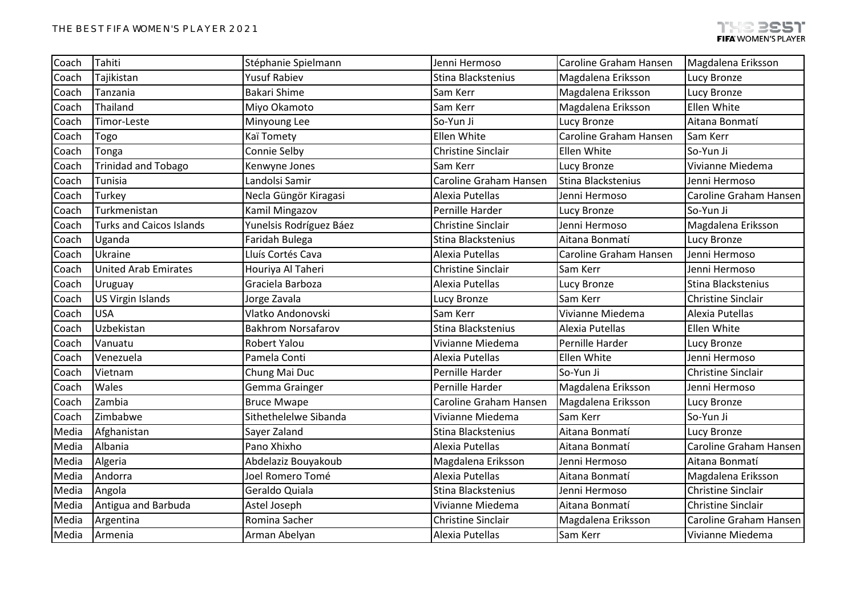| Coach | Tahiti                          | Stéphanie Spielmann       | Jenni Hermoso             | Caroline Graham Hansen | Magdalena Eriksson        |
|-------|---------------------------------|---------------------------|---------------------------|------------------------|---------------------------|
|       |                                 |                           |                           |                        |                           |
| Coach | Tajikistan                      | <b>Yusuf Rabiev</b>       | Stina Blackstenius        | Magdalena Eriksson     | Lucy Bronze               |
| Coach | Tanzania                        | <b>Bakari Shime</b>       | Sam Kerr                  | Magdalena Eriksson     | Lucy Bronze               |
| Coach | Thailand                        | Miyo Okamoto              | Sam Kerr                  | Magdalena Eriksson     | Ellen White               |
| Coach | Timor-Leste                     | Minyoung Lee              | So-Yun Ji                 | Lucy Bronze            | Aitana Bonmatí            |
| Coach | Togo                            | Kaï Tomety                | Ellen White               | Caroline Graham Hansen | Sam Kerr                  |
| Coach | Tonga                           | Connie Selby              | <b>Christine Sinclair</b> | Ellen White            | So-Yun Ji                 |
| Coach | <b>Trinidad and Tobago</b>      | Kenwyne Jones             | Sam Kerr                  | Lucy Bronze            | Vivianne Miedema          |
| Coach | Tunisia                         | Landolsi Samir            | Caroline Graham Hansen    | Stina Blackstenius     | Jenni Hermoso             |
| Coach | Turkey                          | Necla Güngör Kiragasi     | Alexia Putellas           | Jenni Hermoso          | Caroline Graham Hansen    |
| Coach | Turkmenistan                    | Kamil Mingazov            | Pernille Harder           | Lucy Bronze            | So-Yun Ji                 |
| Coach | <b>Turks and Caicos Islands</b> | Yunelsis Rodríguez Báez   | <b>Christine Sinclair</b> | Jenni Hermoso          | Magdalena Eriksson        |
| Coach | Uganda                          | Faridah Bulega            | Stina Blackstenius        | Aitana Bonmatí         | Lucy Bronze               |
| Coach | Ukraine                         | Lluís Cortés Cava         | Alexia Putellas           | Caroline Graham Hansen | Jenni Hermoso             |
| Coach | <b>United Arab Emirates</b>     | Houriya Al Taheri         | <b>Christine Sinclair</b> | Sam Kerr               | Jenni Hermoso             |
| Coach | Uruguay                         | Graciela Barboza          | Alexia Putellas           | Lucy Bronze            | Stina Blackstenius        |
| Coach | <b>US Virgin Islands</b>        | Jorge Zavala              | Lucy Bronze               | Sam Kerr               | <b>Christine Sinclair</b> |
| Coach | <b>USA</b>                      | Vlatko Andonovski         | Sam Kerr                  | Vivianne Miedema       | Alexia Putellas           |
| Coach | Uzbekistan                      | <b>Bakhrom Norsafarov</b> | Stina Blackstenius        | Alexia Putellas        | <b>Ellen White</b>        |
| Coach | Vanuatu                         | Robert Yalou              | Vivianne Miedema          | Pernille Harder        | Lucy Bronze               |
| Coach | Venezuela                       | Pamela Conti              | Alexia Putellas           | Ellen White            | Jenni Hermoso             |
| Coach | Vietnam                         | Chung Mai Duc             | Pernille Harder           | So-Yun Ji              | <b>Christine Sinclair</b> |
| Coach | Wales                           | Gemma Grainger            | Pernille Harder           | Magdalena Eriksson     | Jenni Hermoso             |
| Coach | Zambia                          | <b>Bruce Mwape</b>        | Caroline Graham Hansen    | Magdalena Eriksson     | Lucy Bronze               |
| Coach | Zimbabwe                        | Sithethelelwe Sibanda     | Vivianne Miedema          | Sam Kerr               | So-Yun Ji                 |
| Media | Afghanistan                     | Sayer Zaland              | Stina Blackstenius        | Aitana Bonmatí         | Lucy Bronze               |
| Media | Albania                         | Pano Xhixho               | Alexia Putellas           | Aitana Bonmatí         | Caroline Graham Hansen    |
| Media | Algeria                         | Abdelaziz Bouyakoub       | Magdalena Eriksson        | Jenni Hermoso          | Aitana Bonmatí            |
| Media | Andorra                         | Joel Romero Tomé          | Alexia Putellas           | Aitana Bonmatí         | Magdalena Eriksson        |
| Media | Angola                          | Geraldo Quiala            | Stina Blackstenius        | Jenni Hermoso          | <b>Christine Sinclair</b> |
| Media | Antigua and Barbuda             | Astel Joseph              | Vivianne Miedema          | Aitana Bonmatí         | Christine Sinclair        |
| Media | Argentina                       | Romina Sacher             | <b>Christine Sinclair</b> | Magdalena Eriksson     | Caroline Graham Hansen    |
| Media | Armenia                         | Arman Abelyan             | Alexia Putellas           | Sam Kerr               | Vivianne Miedema          |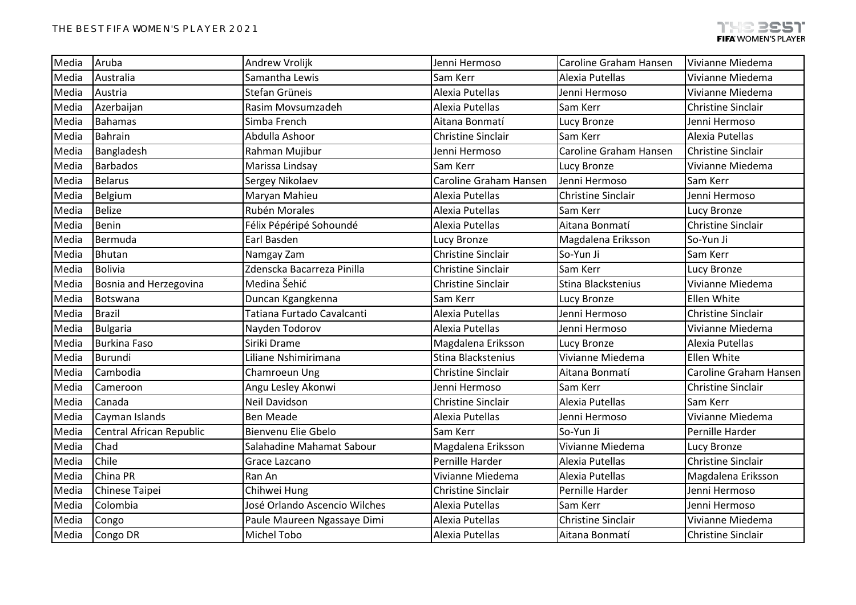| Media | Aruba                    | Andrew Vrolijk                | Jenni Hermoso             | Caroline Graham Hansen    | Vivianne Miedema              |
|-------|--------------------------|-------------------------------|---------------------------|---------------------------|-------------------------------|
| Media | Australia                | Samantha Lewis                | Sam Kerr                  | Alexia Putellas           | Vivianne Miedema              |
| Media | Austria                  | Stefan Grüneis                | Alexia Putellas           | Jenni Hermoso             | Vivianne Miedema              |
| Media | Azerbaijan               | Rasim Movsumzadeh             | Alexia Putellas           | Sam Kerr                  | <b>Christine Sinclair</b>     |
| Media | <b>Bahamas</b>           | Simba French                  | Aitana Bonmatí            | Lucy Bronze               | Jenni Hermoso                 |
| Media | <b>Bahrain</b>           | Abdulla Ashoor                | <b>Christine Sinclair</b> | Sam Kerr                  | Alexia Putellas               |
| Media | Bangladesh               | Rahman Mujibur                | Jenni Hermoso             | Caroline Graham Hansen    | <b>Christine Sinclair</b>     |
| Media | <b>Barbados</b>          | Marissa Lindsay               | Sam Kerr                  | Lucy Bronze               | Vivianne Miedema              |
| Media | <b>Belarus</b>           | Sergey Nikolaev               | Caroline Graham Hansen    | Jenni Hermoso             | Sam Kerr                      |
| Media | Belgium                  | Maryan Mahieu                 | Alexia Putellas           | <b>Christine Sinclair</b> | Jenni Hermoso                 |
| Media | <b>Belize</b>            | Rubén Morales                 | Alexia Putellas           | Sam Kerr                  | Lucy Bronze                   |
| Media | Benin                    | Félix Pépéripé Sohoundé       | Alexia Putellas           | Aitana Bonmatí            | <b>Christine Sinclair</b>     |
| Media | Bermuda                  | Earl Basden                   | Lucy Bronze               | Magdalena Eriksson        | So-Yun Ji                     |
| Media | <b>Bhutan</b>            | Namgay Zam                    | Christine Sinclair        | So-Yun Ji                 | Sam Kerr                      |
| Media | <b>Bolivia</b>           | Zdenscka Bacarreza Pinilla    | <b>Christine Sinclair</b> | Sam Kerr                  | Lucy Bronze                   |
| Media | Bosnia and Herzegovina   | Medina Šehić                  | <b>Christine Sinclair</b> | Stina Blackstenius        | Vivianne Miedema              |
| Media | Botswana                 | Duncan Kgangkenna             | Sam Kerr                  | Lucy Bronze               | Ellen White                   |
| Media | <b>Brazil</b>            | Tatiana Furtado Cavalcanti    | Alexia Putellas           | Jenni Hermoso             | <b>Christine Sinclair</b>     |
| Media | <b>Bulgaria</b>          | Nayden Todorov                | Alexia Putellas           | Jenni Hermoso             | Vivianne Miedema              |
| Media | <b>Burkina Faso</b>      | Siriki Drame                  | Magdalena Eriksson        | Lucy Bronze               | Alexia Putellas               |
| Media | Burundi                  | Liliane Nshimirimana          | Stina Blackstenius        | Vivianne Miedema          | Ellen White                   |
| Media | Cambodia                 | Chamroeun Ung                 | <b>Christine Sinclair</b> | Aitana Bonmatí            | <b>Caroline Graham Hansen</b> |
| Media | Cameroon                 | Angu Lesley Akonwi            | Jenni Hermoso             | Sam Kerr                  | <b>Christine Sinclair</b>     |
| Media | Canada                   | <b>Neil Davidson</b>          | <b>Christine Sinclair</b> | Alexia Putellas           | Sam Kerr                      |
| Media | Cayman Islands           | <b>Ben Meade</b>              | Alexia Putellas           | Jenni Hermoso             | Vivianne Miedema              |
| Media | Central African Republic | Bienvenu Elie Gbelo           | Sam Kerr                  | So-Yun Ji                 | Pernille Harder               |
| Media | Chad                     | Salahadine Mahamat Sabour     | Magdalena Eriksson        | Vivianne Miedema          | Lucy Bronze                   |
| Media | Chile                    | Grace Lazcano                 | Pernille Harder           | Alexia Putellas           | <b>Christine Sinclair</b>     |
| Media | China PR                 | Ran An                        | Vivianne Miedema          | Alexia Putellas           | Magdalena Eriksson            |
| Media | Chinese Taipei           | Chihwei Hung                  | Christine Sinclair        | Pernille Harder           | Jenni Hermoso                 |
| Media | Colombia                 | José Orlando Ascencio Wilches | Alexia Putellas           | Sam Kerr                  | Jenni Hermoso                 |
| Media | Congo                    | Paule Maureen Ngassaye Dimi   | Alexia Putellas           | <b>Christine Sinclair</b> | Vivianne Miedema              |
| Media | Congo DR                 | Michel Tobo                   | Alexia Putellas           | Aitana Bonmatí            | Christine Sinclair            |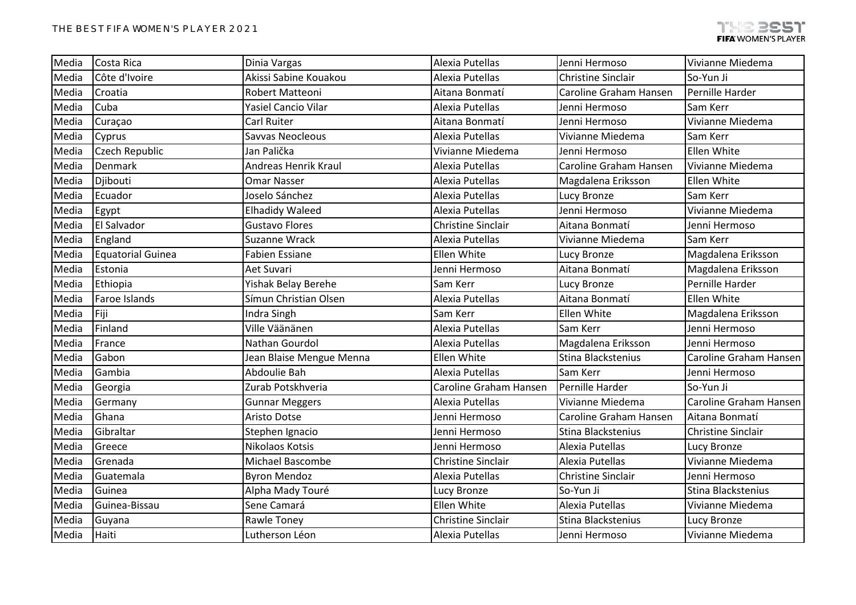| Media | Costa Rica               | Dinia Vargas                | Alexia Putellas           | Jenni Hermoso             | Vivianne Miedema          |
|-------|--------------------------|-----------------------------|---------------------------|---------------------------|---------------------------|
| Media | Côte d'Ivoire            | Akissi Sabine Kouakou       | Alexia Putellas           | <b>Christine Sinclair</b> | So-Yun Ji                 |
| Media | Croatia                  | Robert Matteoni             | Aitana Bonmatí            | Caroline Graham Hansen    | Pernille Harder           |
| Media | Cuba                     | Yasiel Cancio Vilar         | Alexia Putellas           | Jenni Hermoso             | Sam Kerr                  |
| Media | Curaçao                  | Carl Ruiter                 | Aitana Bonmatí            | Jenni Hermoso             | Vivianne Miedema          |
| Media | Cyprus                   | Savvas Neocleous            | Alexia Putellas           | Vivianne Miedema          | Sam Kerr                  |
| Media | Czech Republic           | Jan Palička                 | Vivianne Miedema          | Jenni Hermoso             | Ellen White               |
| Media | Denmark                  | <b>Andreas Henrik Kraul</b> | Alexia Putellas           | Caroline Graham Hansen    | Vivianne Miedema          |
| Media | Djibouti                 | <b>Omar Nasser</b>          | Alexia Putellas           | Magdalena Eriksson        | Ellen White               |
| Media | Ecuador                  | Joselo Sánchez              | Alexia Putellas           | Lucy Bronze               | Sam Kerr                  |
| Media | Egypt                    | <b>Elhadidy Waleed</b>      | Alexia Putellas           | Jenni Hermoso             | Vivianne Miedema          |
| Media | El Salvador              | <b>Gustavo Flores</b>       | Christine Sinclair        | Aitana Bonmatí            | Jenni Hermoso             |
| Media | England                  | Suzanne Wrack               | Alexia Putellas           | Vivianne Miedema          | Sam Kerr                  |
| Media | <b>Equatorial Guinea</b> | <b>Fabien Essiane</b>       | Ellen White               | Lucy Bronze               | Magdalena Eriksson        |
| Media | Estonia                  | Aet Suvari                  | Jenni Hermoso             | Aitana Bonmatí            | Magdalena Eriksson        |
| Media | Ethiopia                 | Yishak Belay Berehe         | Sam Kerr                  | Lucy Bronze               | Pernille Harder           |
| Media | Faroe Islands            | Símun Christian Olsen       | Alexia Putellas           | Aitana Bonmatí            | Ellen White               |
| Media | Fiji                     | Indra Singh                 | Sam Kerr                  | Ellen White               | Magdalena Eriksson        |
| Media | Finland                  | Ville Väänänen              | Alexia Putellas           | Sam Kerr                  | Jenni Hermoso             |
| Media | France                   | Nathan Gourdol              | Alexia Putellas           | Magdalena Eriksson        | Jenni Hermoso             |
| Media | Gabon                    | Jean Blaise Mengue Menna    | Ellen White               | Stina Blackstenius        | Caroline Graham Hansen    |
| Media | Gambia                   | Abdoulie Bah                | Alexia Putellas           | Sam Kerr                  | Jenni Hermoso             |
| Media | Georgia                  | Zurab Potskhveria           | Caroline Graham Hansen    | Pernille Harder           | So-Yun Ji                 |
| Media | Germany                  | <b>Gunnar Meggers</b>       | Alexia Putellas           | Vivianne Miedema          | Caroline Graham Hansen    |
| Media | Ghana                    | Aristo Dotse                | Jenni Hermoso             | Caroline Graham Hansen    | Aitana Bonmatí            |
| Media | Gibraltar                | Stephen Ignacio             | Jenni Hermoso             | Stina Blackstenius        | <b>Christine Sinclair</b> |
| Media | Greece                   | Nikolaos Kotsis             | Jenni Hermoso             | Alexia Putellas           | Lucy Bronze               |
| Media | Grenada                  | Michael Bascombe            | <b>Christine Sinclair</b> | Alexia Putellas           | Vivianne Miedema          |
| Media | Guatemala                | <b>Byron Mendoz</b>         | Alexia Putellas           | <b>Christine Sinclair</b> | Jenni Hermoso             |
| Media | Guinea                   | Alpha Mady Touré            | Lucy Bronze               | So-Yun Ji                 | Stina Blackstenius        |
| Media | Guinea-Bissau            | Sene Camará                 | Ellen White               | Alexia Putellas           | Vivianne Miedema          |
| Media | Guyana                   | Rawle Toney                 | <b>Christine Sinclair</b> | Stina Blackstenius        | Lucy Bronze               |
| Media | Haiti                    | Lutherson Léon              | Alexia Putellas           | Jenni Hermoso             | Vivianne Miedema          |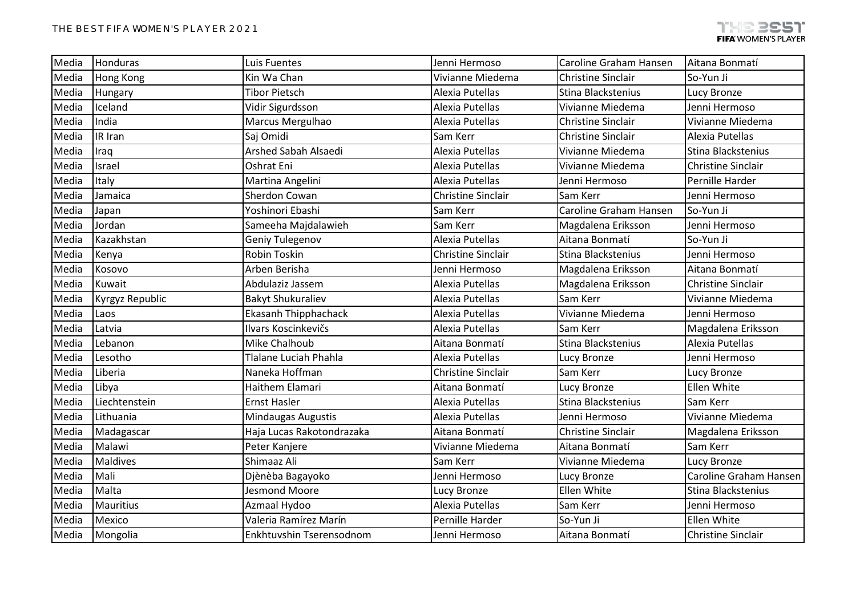| Media | Honduras        | Luis Fuentes                | Jenni Hermoso             | Caroline Graham Hansen    | Aitana Bonmatí            |
|-------|-----------------|-----------------------------|---------------------------|---------------------------|---------------------------|
| Media | Hong Kong       | Kin Wa Chan                 | Vivianne Miedema          | <b>Christine Sinclair</b> | So-Yun Ji                 |
| Media | Hungary         | <b>Tibor Pietsch</b>        | Alexia Putellas           | Stina Blackstenius        | Lucy Bronze               |
| Media | Iceland         | Vidir Sigurdsson            | Alexia Putellas           | Vivianne Miedema          | Jenni Hermoso             |
| Media | India           | Marcus Mergulhao            | Alexia Putellas           | <b>Christine Sinclair</b> | Vivianne Miedema          |
| Media | IR Iran         | Saj Omidi                   | Sam Kerr                  | <b>Christine Sinclair</b> | Alexia Putellas           |
| Media | Iraq            | Arshed Sabah Alsaedi        | Alexia Putellas           | Vivianne Miedema          | Stina Blackstenius        |
| Media | Israel          | Oshrat Eni                  | Alexia Putellas           | Vivianne Miedema          | <b>Christine Sinclair</b> |
| Media | Italy           | Martina Angelini            | Alexia Putellas           | Jenni Hermoso             | Pernille Harder           |
| Media | Jamaica         | Sherdon Cowan               | <b>Christine Sinclair</b> | Sam Kerr                  | Jenni Hermoso             |
| Media | Japan           | Yoshinori Ebashi            | Sam Kerr                  | Caroline Graham Hansen    | So-Yun Ji                 |
| Media | Jordan          | Sameeha Majdalawieh         | Sam Kerr                  | Magdalena Eriksson        | Jenni Hermoso             |
| Media | Kazakhstan      | Geniy Tulegenov             | Alexia Putellas           | Aitana Bonmatí            | So-Yun Ji                 |
| Media | Kenya           | Robin Toskin                | <b>Christine Sinclair</b> | Stina Blackstenius        | Jenni Hermoso             |
| Media | Kosovo          | Arben Berisha               | Jenni Hermoso             | Magdalena Eriksson        | Aitana Bonmatí            |
| Media | Kuwait          | Abdulaziz Jassem            | Alexia Putellas           | Magdalena Eriksson        | <b>Christine Sinclair</b> |
| Media | Kyrgyz Republic | <b>Bakyt Shukuraliev</b>    | Alexia Putellas           | Sam Kerr                  | Vivianne Miedema          |
| Media | Laos            | <b>Ekasanh Thipphachack</b> | Alexia Putellas           | Vivianne Miedema          | Jenni Hermoso             |
| Media | Latvia          | Ilvars Koscinkevičs         | Alexia Putellas           | Sam Kerr                  | Magdalena Eriksson        |
| Media | Lebanon         | Mike Chalhoub               | Aitana Bonmatí            | Stina Blackstenius        | Alexia Putellas           |
| Media | Lesotho         | Tlalane Luciah Phahla       | Alexia Putellas           | Lucy Bronze               | Jenni Hermoso             |
| Media | Liberia         | Naneka Hoffman              | <b>Christine Sinclair</b> | Sam Kerr                  | Lucy Bronze               |
| Media | Libya           | Haithem Elamari             | Aitana Bonmatí            | Lucy Bronze               | Ellen White               |
| Media | Liechtenstein   | <b>Ernst Hasler</b>         | Alexia Putellas           | Stina Blackstenius        | Sam Kerr                  |
| Media | Lithuania       | Mindaugas Augustis          | Alexia Putellas           | Jenni Hermoso             | Vivianne Miedema          |
| Media | Madagascar      | Haja Lucas Rakotondrazaka   | Aitana Bonmatí            | <b>Christine Sinclair</b> | Magdalena Eriksson        |
| Media | Malawi          | Peter Kanjere               | Vivianne Miedema          | Aitana Bonmatí            | Sam Kerr                  |
| Media | <b>Maldives</b> | Shimaaz Ali                 | Sam Kerr                  | Vivianne Miedema          | Lucy Bronze               |
| Media | Mali            | Djènèba Bagayoko            | Jenni Hermoso             | Lucy Bronze               | Caroline Graham Hansen    |
| Media | Malta           | Jesmond Moore               | Lucy Bronze               | Ellen White               | Stina Blackstenius        |
| Media | Mauritius       | Azmaal Hydoo                | Alexia Putellas           | Sam Kerr                  | Jenni Hermoso             |
| Media | Mexico          | Valeria Ramírez Marín       | Pernille Harder           | So-Yun Ji                 | Ellen White               |
| Media | Mongolia        | Enkhtuvshin Tserensodnom    | Jenni Hermoso             | Aitana Bonmatí            | <b>Christine Sinclair</b> |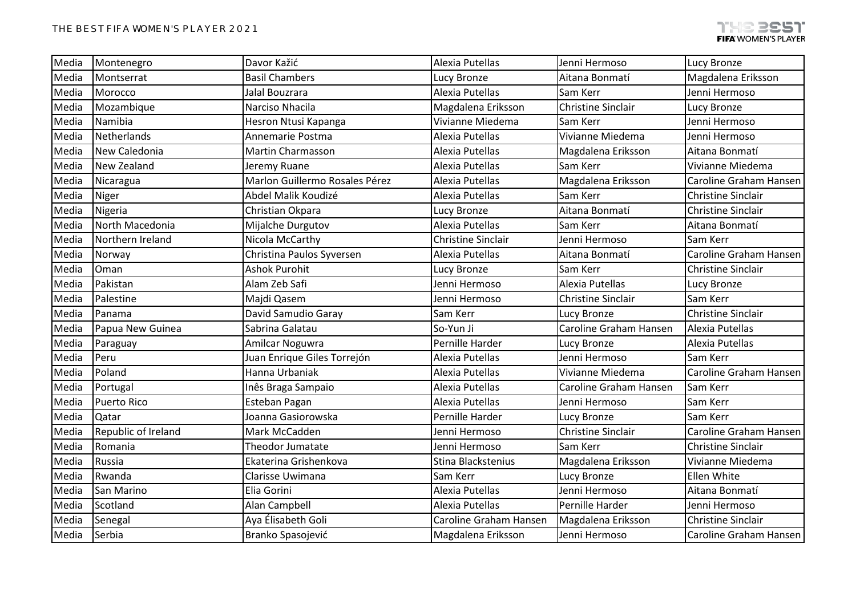| Media | Montenegro          | Davor Kažić                    | Alexia Putellas           | Jenni Hermoso             | Lucy Bronze               |
|-------|---------------------|--------------------------------|---------------------------|---------------------------|---------------------------|
| Media | Montserrat          | <b>Basil Chambers</b>          | Lucy Bronze               | Aitana Bonmatí            | Magdalena Eriksson        |
| Media | Morocco             | Jalal Bouzrara                 | Alexia Putellas           | Sam Kerr                  | Jenni Hermoso             |
| Media | Mozambique          | Narciso Nhacila                | Magdalena Eriksson        | <b>Christine Sinclair</b> | Lucy Bronze               |
| Media | Namibia             | Hesron Ntusi Kapanga           | Vivianne Miedema          | Sam Kerr                  | Jenni Hermoso             |
| Media | Netherlands         | Annemarie Postma               | Alexia Putellas           | Vivianne Miedema          | Jenni Hermoso             |
| Media | New Caledonia       | Martin Charmasson              | Alexia Putellas           | Magdalena Eriksson        | Aitana Bonmatí            |
| Media | New Zealand         | Jeremy Ruane                   | Alexia Putellas           | Sam Kerr                  | Vivianne Miedema          |
| Media | Nicaragua           | Marlon Guillermo Rosales Pérez | Alexia Putellas           | Magdalena Eriksson        | Caroline Graham Hansen    |
| Media | Niger               | Abdel Malik Koudizé            | Alexia Putellas           | Sam Kerr                  | <b>Christine Sinclair</b> |
| Media | Nigeria             | Christian Okpara               | Lucy Bronze               | Aitana Bonmatí            | <b>Christine Sinclair</b> |
| Media | North Macedonia     | Mijalche Durgutov              | Alexia Putellas           | Sam Kerr                  | Aitana Bonmatí            |
| Media | Northern Ireland    | Nicola McCarthy                | <b>Christine Sinclair</b> | Jenni Hermoso             | Sam Kerr                  |
| Media | Norway              | Christina Paulos Syversen      | Alexia Putellas           | Aitana Bonmatí            | Caroline Graham Hansen    |
| Media | Oman                | <b>Ashok Purohit</b>           | Lucy Bronze               | Sam Kerr                  | <b>Christine Sinclair</b> |
| Media | Pakistan            | Alam Zeb Safi                  | Jenni Hermoso             | Alexia Putellas           | Lucy Bronze               |
| Media | Palestine           | Majdi Qasem                    | Jenni Hermoso             | <b>Christine Sinclair</b> | Sam Kerr                  |
| Media | Panama              | David Samudio Garay            | Sam Kerr                  | Lucy Bronze               | <b>Christine Sinclair</b> |
| Media | Papua New Guinea    | Sabrina Galatau                | So-Yun Ji                 | Caroline Graham Hansen    | Alexia Putellas           |
| Media | Paraguay            | Amilcar Noguwra                | Pernille Harder           | Lucy Bronze               | Alexia Putellas           |
| Media | Peru                | Juan Enrique Giles Torrejón    | Alexia Putellas           | Jenni Hermoso             | Sam Kerr                  |
| Media | Poland              | Hanna Urbaniak                 | Alexia Putellas           | Vivianne Miedema          | Caroline Graham Hansen    |
| Media | Portugal            | Inês Braga Sampaio             | Alexia Putellas           | Caroline Graham Hansen    | Sam Kerr                  |
| Media | <b>Puerto Rico</b>  | Esteban Pagan                  | Alexia Putellas           | Jenni Hermoso             | Sam Kerr                  |
| Media | Qatar               | Joanna Gasiorowska             | Pernille Harder           | Lucy Bronze               | Sam Kerr                  |
| Media | Republic of Ireland | Mark McCadden                  | Jenni Hermoso             | <b>Christine Sinclair</b> | Caroline Graham Hansen    |
| Media | Romania             | Theodor Jumatate               | Jenni Hermoso             | Sam Kerr                  | <b>Christine Sinclair</b> |
| Media | Russia              | Ekaterina Grishenkova          | Stina Blackstenius        | Magdalena Eriksson        | Vivianne Miedema          |
| Media | Rwanda              | Clarisse Uwimana               | Sam Kerr                  | Lucy Bronze               | Ellen White               |
| Media | San Marino          | Elia Gorini                    | Alexia Putellas           | Jenni Hermoso             | Aitana Bonmatí            |
| Media | Scotland            | Alan Campbell                  | Alexia Putellas           | Pernille Harder           | Jenni Hermoso             |
| Media | Senegal             | Aya Élisabeth Goli             | Caroline Graham Hansen    | Magdalena Eriksson        | <b>Christine Sinclair</b> |
| Media | Serbia              | Branko Spasojević              | Magdalena Eriksson        | Jenni Hermoso             | Caroline Graham Hansen    |